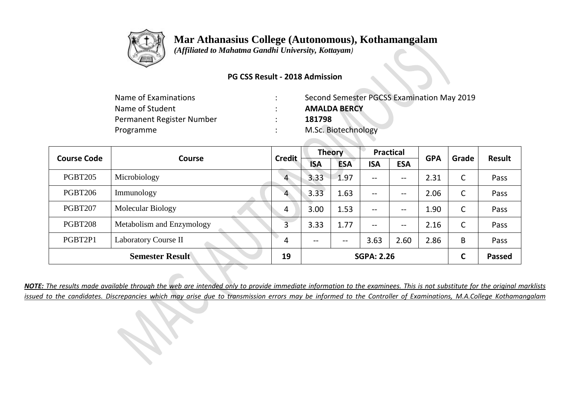

 *(Affiliated to Mahatma Gandhi University, Kottayam)*

### **PG CSS Result - 2018 Admission**

| Name of Examinations      | Second Semester PGCSS Examination May 2019 |
|---------------------------|--------------------------------------------|
| Name of Student           | <b>AMALDA BERCY</b>                        |
| Permanent Register Number | 181798                                     |
| Programme                 | M.Sc. Biotechnology                        |

| <b>Course Code</b> | Course                    | <b>Credit</b>  | <b>Theory</b> |            | <b>Practical</b>         |            | <b>GPA</b> | Grade | <b>Result</b> |
|--------------------|---------------------------|----------------|---------------|------------|--------------------------|------------|------------|-------|---------------|
|                    |                           |                | <b>ISA</b>    | <b>ESA</b> | <b>ISA</b>               | <b>ESA</b> |            |       |               |
| <b>PGBT205</b>     | Microbiology              | $\overline{4}$ | 3.33          | 1.97       | $\overline{\phantom{m}}$ | --         | 2.31       | C     | Pass          |
| <b>PGBT206</b>     | Immunology                | $\overline{4}$ | 3.33          | 1.63       | $--$                     | --         | 2.06       | C     | Pass          |
| <b>PGBT207</b>     | <b>Molecular Biology</b>  | 4              | 3.00          | 1.53       | $--$                     | --         | 1.90       | C     | Pass          |
| <b>PGBT208</b>     | Metabolism and Enzymology | 3              | 3.33          | 1.77       | $\overline{\phantom{m}}$ | --         | 2.16       | C     | Pass          |
| PGBT2P1            | Laboratory Course II      | 4              | $- -$         | $- -$      | 3.63                     | 2.60       | 2.86       | B     | Pass          |
|                    | <b>Semester Result</b>    | 19             |               |            | <b>SGPA: 2.26</b>        |            |            | C     | <b>Passed</b> |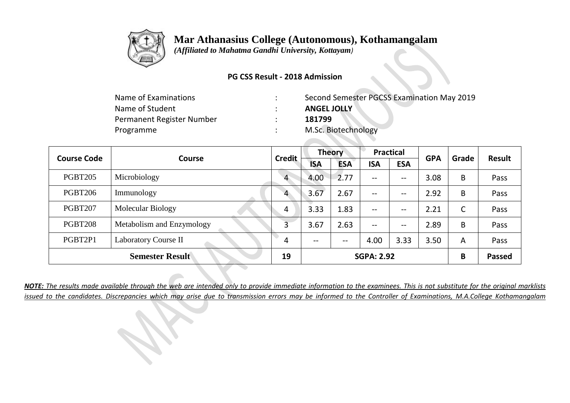

 *(Affiliated to Mahatma Gandhi University, Kottayam)*

### **PG CSS Result - 2018 Admission**

| Name of Examinations      | Second Semester PGCSS Examination May 2019 |
|---------------------------|--------------------------------------------|
| Name of Student           | <b>ANGEL JOLLY</b>                         |
| Permanent Register Number | 181799                                     |
| Programme                 | M.Sc. Biotechnology                        |

| <b>Course Code</b> | Course                    | <b>Credit</b>  | <b>Theory</b> |            | <b>Practical</b>  |            | <b>GPA</b> | Grade | Result        |
|--------------------|---------------------------|----------------|---------------|------------|-------------------|------------|------------|-------|---------------|
|                    |                           |                | <b>ISA</b>    | <b>ESA</b> | <b>ISA</b>        | <b>ESA</b> |            |       |               |
| <b>PGBT205</b>     | Microbiology              | $\overline{4}$ | 4.00          | 2.77       | $--$              | --         | 3.08       | B     | Pass          |
| <b>PGBT206</b>     | Immunology                | 4              | 3.67          | 2.67       | $--$              | --         | 2.92       | B     | Pass          |
| <b>PGBT207</b>     | <b>Molecular Biology</b>  | 4              | 3.33          | 1.83       | $--$              | --         | 2.21       | C     | Pass          |
| <b>PGBT208</b>     | Metabolism and Enzymology | 3              | 3.67          | 2.63       | $- -$             | --         | 2.89       | B     | Pass          |
| PGBT2P1            | Laboratory Course II      | 4              | --            | --         | 4.00              | 3.33       | 3.50       | A     | Pass          |
|                    | <b>Semester Result</b>    | 19             |               |            | <b>SGPA: 2.92</b> |            |            | B     | <b>Passed</b> |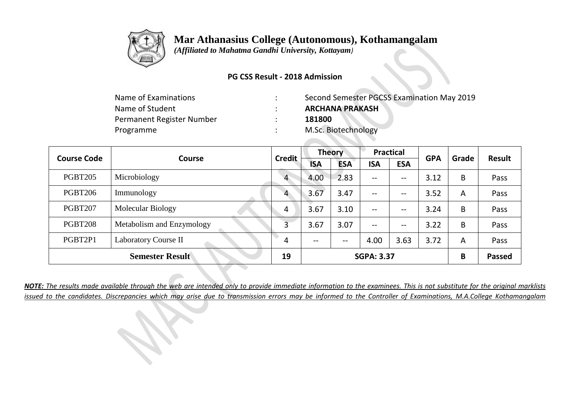

 *(Affiliated to Mahatma Gandhi University, Kottayam)*

### **PG CSS Result - 2018 Admission**

| Name of Examinations      | Second Semester PGCSS Examination May 2019 |
|---------------------------|--------------------------------------------|
| Name of Student           | <b>ARCHANA PRAKASH</b>                     |
| Permanent Register Number | 181800                                     |
| Programme                 | M.Sc. Biotechnology                        |

| <b>Course Code</b> | Course                    | <b>Credit</b>  | <b>Theory</b> |            | <b>Practical</b>  |            | <b>GPA</b> | Grade | <b>Result</b> |
|--------------------|---------------------------|----------------|---------------|------------|-------------------|------------|------------|-------|---------------|
|                    |                           |                | <b>ISA</b>    | <b>ESA</b> | <b>ISA</b>        | <b>ESA</b> |            |       |               |
| <b>PGBT205</b>     | Microbiology              | $\overline{4}$ | 4.00          | 2.83       | $\qquad \qquad -$ | --         | 3.12       | B     | Pass          |
| <b>PGBT206</b>     | Immunology                | 4              | 3.67          | 3.47       | $\qquad \qquad -$ | --         | 3.52       | A     | Pass          |
| <b>PGBT207</b>     | Molecular Biology         | -4             | 3.67          | 3.10       | $\qquad \qquad -$ | --         | 3.24       | B     | Pass          |
| <b>PGBT208</b>     | Metabolism and Enzymology | 3              | 3.67          | 3.07       | $-$               | --         | 3.22       | B     | Pass          |
| PGBT2P1            | Laboratory Course II      | 4              | $- -$         | $- -$      | 4.00              | 3.63       | 3.72       | A     | Pass          |
|                    | <b>Semester Result</b>    | 19             |               |            | <b>SGPA: 3.37</b> |            |            | B     | <b>Passed</b> |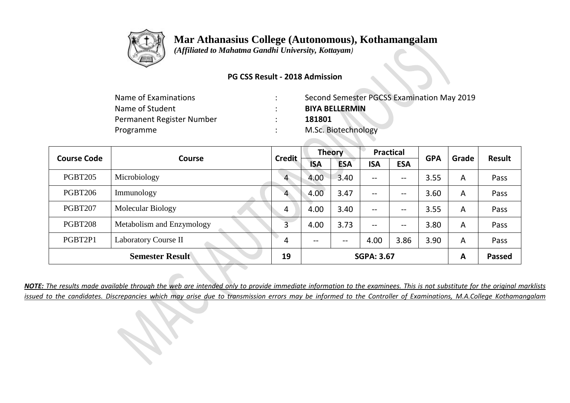

 *(Affiliated to Mahatma Gandhi University, Kottayam)*

### **PG CSS Result - 2018 Admission**

| Name of Examinations      | Second Semester PGCSS Examination May 2019 |
|---------------------------|--------------------------------------------|
| Name of Student           | <b>BIYA BELLERMIN</b>                      |
| Permanent Register Number | 181801                                     |
| Programme                 | M.Sc. Biotechnology                        |

| <b>Course Code</b> | Course                    | <b>Credit</b>  | <b>Theory</b> |            | <b>Practical</b>  |            | <b>GPA</b> | Grade          | Result        |
|--------------------|---------------------------|----------------|---------------|------------|-------------------|------------|------------|----------------|---------------|
|                    |                           |                | <b>ISA</b>    | <b>ESA</b> | <b>ISA</b>        | <b>ESA</b> |            |                |               |
| <b>PGBT205</b>     | Microbiology              | $\overline{4}$ | 4.00          | 3.40       | $\qquad \qquad -$ | --         | 3.55       | $\overline{A}$ | Pass          |
| <b>PGBT206</b>     | Immunology                | $\overline{4}$ | 4.00          | 3.47       | $\qquad \qquad -$ | --         | 3.60       | A              | Pass          |
| <b>PGBT207</b>     | Molecular Biology         | 4              | 4.00          | 3.40       | $\qquad \qquad -$ | --         | 3.55       | $\overline{A}$ | Pass          |
| <b>PGBT208</b>     | Metabolism and Enzymology | 3              | 4.00          | 3.73       | $\qquad \qquad -$ | --         | 3.80       | $\overline{A}$ | Pass          |
| PGBT2P1            | Laboratory Course II      | 4              | --            | --         | 4.00              | 3.86       | 3.90       | $\overline{A}$ | Pass          |
|                    | <b>Semester Result</b>    | 19             |               |            | <b>SGPA: 3.67</b> |            |            | $\mathbf{A}$   | <b>Passed</b> |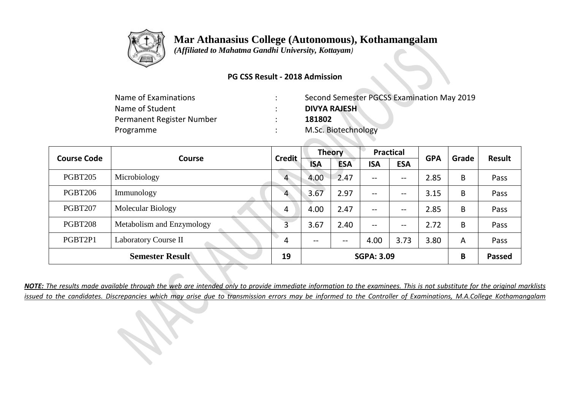

 *(Affiliated to Mahatma Gandhi University, Kottayam)*

### **PG CSS Result - 2018 Admission**

| Name of Examinations      | Second Semester PGCSS Examination May 2019 |
|---------------------------|--------------------------------------------|
| Name of Student           | <b>DIVYA RAJESH</b>                        |
| Permanent Register Number | 181802                                     |
| Programme                 | M.Sc. Biotechnology                        |

| <b>Course Code</b> | <b>Course</b>             | <b>Credit</b>  | <b>Theory</b> |            | <b>Practical</b>         |            | <b>GPA</b> | Grade | <b>Result</b> |
|--------------------|---------------------------|----------------|---------------|------------|--------------------------|------------|------------|-------|---------------|
|                    |                           |                | <b>ISA</b>    | <b>ESA</b> | <b>ISA</b>               | <b>ESA</b> |            |       |               |
| <b>PGBT205</b>     | Microbiology              | $\overline{4}$ | 4.00          | 2.47       | $\overline{\phantom{m}}$ | --         | 2.85       | B     | Pass          |
| <b>PGBT206</b>     | Immunology                | 4              | 3.67          | 2.97       | $- -$                    | --         | 3.15       | B     | Pass          |
| <b>PGBT207</b>     | <b>Molecular Biology</b>  | 4              | 4.00          | 2.47       | $--$                     | --         | 2.85       | B     | Pass          |
| <b>PGBT208</b>     | Metabolism and Enzymology | 3              | 3.67          | 2.40       | $- -$                    | --         | 2.72       | B     | Pass          |
| PGBT2P1            | Laboratory Course II      | 4              | $- -$         | $- -$      | 4.00                     | 3.73       | 3.80       | A     | Pass          |
|                    | <b>Semester Result</b>    | 19             |               |            | <b>SGPA: 3.09</b>        |            |            | B     | <b>Passed</b> |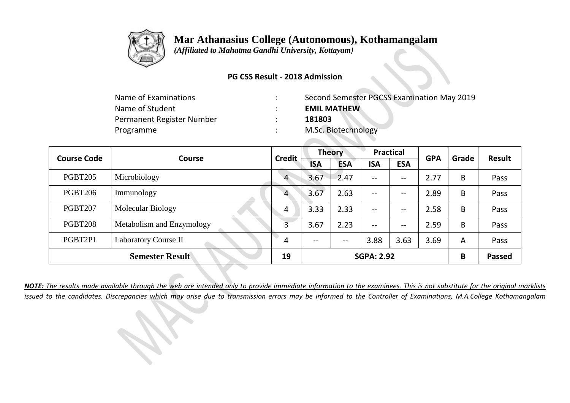

 *(Affiliated to Mahatma Gandhi University, Kottayam)*

### **PG CSS Result - 2018 Admission**

| Name of Examinations      | Second Semester PGCSS Examination May 2019 |
|---------------------------|--------------------------------------------|
| Name of Student           | <b>EMIL MATHEW</b>                         |
| Permanent Register Number | 181803                                     |
| Programme                 | M.Sc. Biotechnology                        |

| <b>Course Code</b> | Course                    | <b>Credit</b>  | <b>Theory</b> |            | <b>Practical</b>         |            | <b>GPA</b> | Grade | Result        |
|--------------------|---------------------------|----------------|---------------|------------|--------------------------|------------|------------|-------|---------------|
|                    |                           |                | <b>ISA</b>    | <b>ESA</b> | <b>ISA</b>               | <b>ESA</b> |            |       |               |
| <b>PGBT205</b>     | Microbiology              | $\overline{4}$ | 3.67          | 2.47       | $--$                     | --         | 2.77       | B     | Pass          |
| <b>PGBT206</b>     | Immunology                | 4              | 3.67          | 2.63       | $--$                     | --         | 2.89       | B     | Pass          |
| <b>PGBT207</b>     | <b>Molecular Biology</b>  | 4              | 3.33          | 2.33       | $\overline{\phantom{m}}$ | --         | 2.58       | B     | Pass          |
| <b>PGBT208</b>     | Metabolism and Enzymology | 3              | 3.67          | 2.23       | $- -$                    | --         | 2.59       | B     | Pass          |
| PGBT2P1            | Laboratory Course II      | 4              | --            | $- -$      | 3.88                     | 3.63       | 3.69       | A     | Pass          |
|                    | <b>Semester Result</b>    | 19             |               |            | <b>SGPA: 2.92</b>        |            |            | B     | <b>Passed</b> |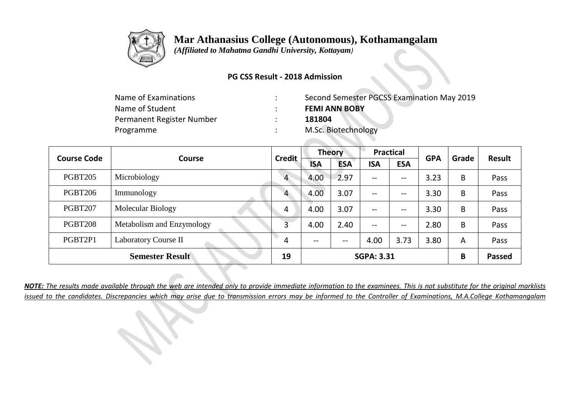

 *(Affiliated to Mahatma Gandhi University, Kottayam)*

### **PG CSS Result - 2018 Admission**

| Name of Examinations      | Second Semester PGCSS Examination May 2019 |
|---------------------------|--------------------------------------------|
| Name of Student           | <b>FEMI ANN BOBY</b>                       |
| Permanent Register Number | 181804                                     |
| Programme                 | M.Sc. Biotechnology                        |

| <b>Course Code</b> | Course                    | <b>Credit</b>  | <b>Theory</b> |            | <b>Practical</b>         |            | <b>GPA</b> | Grade | <b>Result</b> |
|--------------------|---------------------------|----------------|---------------|------------|--------------------------|------------|------------|-------|---------------|
|                    |                           |                | <b>ISA</b>    | <b>ESA</b> | <b>ISA</b>               | <b>ESA</b> |            |       |               |
| <b>PGBT205</b>     | Microbiology              | $\overline{4}$ | 4.00          | 2.97       | $\overline{\phantom{m}}$ | --         | 3.23       | B     | Pass          |
| <b>PGBT206</b>     | Immunology                | $\overline{4}$ | 4.00          | 3.07       | $--$                     | --         | 3.30       | B     | Pass          |
| <b>PGBT207</b>     | <b>Molecular Biology</b>  | 4              | 4.00          | 3.07       | $--$                     | --         | 3.30       | B     | Pass          |
| <b>PGBT208</b>     | Metabolism and Enzymology | 3              | 4.00          | 2.40       | $\overline{\phantom{m}}$ | --         | 2.80       | B     | Pass          |
| PGBT2P1            | Laboratory Course II      | 4              | $- -$         | $- -$      | 4.00                     | 3.73       | 3.80       | A     | Pass          |
|                    | <b>Semester Result</b>    | 19             |               |            | <b>SGPA: 3.31</b>        |            |            | B     | <b>Passed</b> |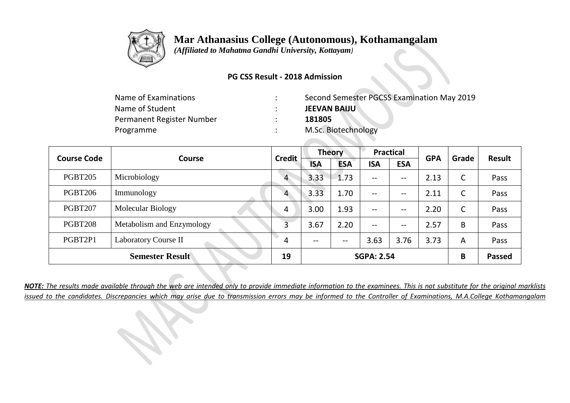

 *(Affiliated to Mahatma Gandhi University, Kottayam)*

### **PG CSS Result - 2018 Admission**

| Name of Examinations      | Second Semester PGCSS Examination May 2019 |
|---------------------------|--------------------------------------------|
| Name of Student           | <b>JEEVAN BAIJU</b>                        |
| Permanent Register Number | 181805                                     |
| Programme                 | M.Sc. Biotechnology                        |

| <b>Course Code</b> | Course                    | <b>Credit</b>  | <b>Theory</b> |            | <b>Practical</b>  |            | <b>GPA</b> | Grade | Result        |
|--------------------|---------------------------|----------------|---------------|------------|-------------------|------------|------------|-------|---------------|
|                    |                           |                | <b>ISA</b>    | <b>ESA</b> | <b>ISA</b>        | <b>ESA</b> |            |       |               |
| <b>PGBT205</b>     | Microbiology              | $\overline{4}$ | 3.33          | $-1.73$    | $--$              | --         | 2.13       | C     | Pass          |
| <b>PGBT206</b>     | Immunology                | 4              | 3.33          | 1.70       | $--$              | --         | 2.11       | C     | Pass          |
| <b>PGBT207</b>     | <b>Molecular Biology</b>  | 4              | 3.00          | 1.93       | $--$              | --         | 2.20       | C     | Pass          |
| <b>PGBT208</b>     | Metabolism and Enzymology | 3              | 3.67          | 2.20       | $- -$             | --         | 2.57       | B     | Pass          |
| PGBT2P1            | Laboratory Course II      | 4              | --            | --         | 3.63              | 3.76       | 3.73       | A     | Pass          |
|                    | <b>Semester Result</b>    | 19             |               |            | <b>SGPA: 2.54</b> |            |            | B     | <b>Passed</b> |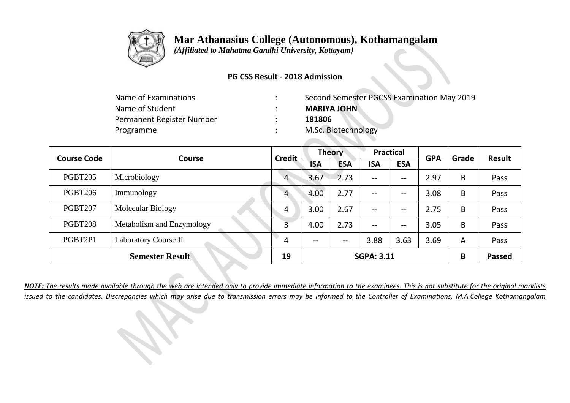

 *(Affiliated to Mahatma Gandhi University, Kottayam)*

### **PG CSS Result - 2018 Admission**

| Name of Examinations      | Second Semester PGCSS Examination May 2019 |
|---------------------------|--------------------------------------------|
| Name of Student           | <b>MARIYA JOHN</b>                         |
| Permanent Register Number | 181806                                     |
| Programme                 | M.Sc. Biotechnology                        |

| <b>Course Code</b> | Course                    | <b>Credit</b>  | <b>Theory</b> |            | <b>Practical</b>         |            | <b>GPA</b> | Grade | Result        |
|--------------------|---------------------------|----------------|---------------|------------|--------------------------|------------|------------|-------|---------------|
|                    |                           |                | <b>ISA</b>    | <b>ESA</b> | <b>ISA</b>               | <b>ESA</b> |            |       |               |
| <b>PGBT205</b>     | Microbiology              | $\overline{4}$ | 3.67          | 2.73       | $--$                     | --         | 2.97       | B     | Pass          |
| <b>PGBT206</b>     | Immunology                | 4              | 4.00          | 2.77       | $--$                     | --         | 3.08       | B     | Pass          |
| <b>PGBT207</b>     | Molecular Biology         | 4              | 3.00          | 2.67       | $\overline{\phantom{m}}$ | --         | 2.75       | B     | Pass          |
| <b>PGBT208</b>     | Metabolism and Enzymology | 3              | 4.00          | 2.73       | $- -$                    | --         | 3.05       | B     | Pass          |
| PGBT2P1            | Laboratory Course II      | 4              | --            | $- -$      | 3.88                     | 3.63       | 3.69       | A     | Pass          |
|                    | <b>Semester Result</b>    | 19             |               |            | <b>SGPA: 3.11</b>        |            |            | B     | <b>Passed</b> |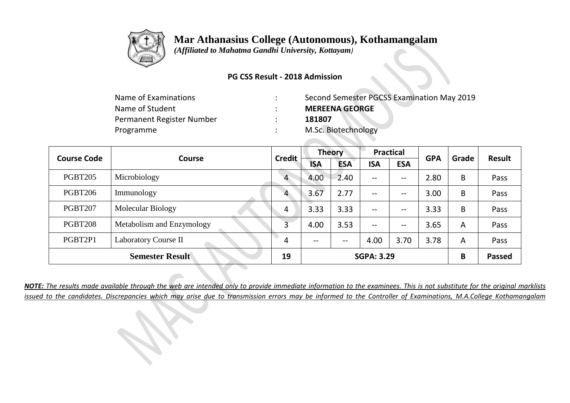

 *(Affiliated to Mahatma Gandhi University, Kottayam)*

### **PG CSS Result - 2018 Admission**

| Second Semester PGCSS Examination May 2019 |
|--------------------------------------------|
| <b>MEREENA GEORGE</b>                      |
| 181807                                     |
| M.Sc. Biotechnology                        |
|                                            |

| <b>Course Code</b> | Course                      | <b>Credit</b>  | <b>Theory</b> |            | <b>Practical</b>         |            | <b>GPA</b> | Grade          | Result        |
|--------------------|-----------------------------|----------------|---------------|------------|--------------------------|------------|------------|----------------|---------------|
|                    |                             |                | <b>ISA</b>    | <b>ESA</b> | <b>ISA</b>               | <b>ESA</b> |            |                |               |
| <b>PGBT205</b>     | Microbiology                | $\overline{4}$ | 4.00          | 2.40       | $\overline{\phantom{m}}$ | --         | 2.80       | B              | Pass          |
| <b>PGBT206</b>     | Immunology                  | 4              | 3.67          | 2.77       | $- -$                    | --         | 3.00       | B              | Pass          |
| <b>PGBT207</b>     | <b>Molecular Biology</b>    | 4              | 3.33          | 3.33       | $- -$                    | --         | 3.33       | B              | Pass          |
| <b>PGBT208</b>     | Metabolism and Enzymology   | 3              | 4.00          | 3.53       | $-$                      | --         | 3.65       | $\overline{A}$ | Pass          |
| PGBT2P1            | <b>Laboratory Course II</b> | 4              | $- -$         | $- -$      | 4.00                     | 3.70       | 3.78       | $\overline{A}$ | Pass          |
|                    | <b>Semester Result</b>      | 19             |               |            | <b>SGPA: 3.29</b>        |            |            | B              | <b>Passed</b> |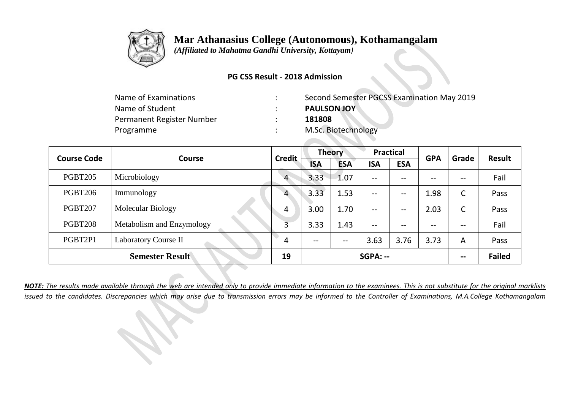

 *(Affiliated to Mahatma Gandhi University, Kottayam)*

### **PG CSS Result - 2018 Admission**

| Name of Examinations      | Second Semester PGCSS Examination May 2019 |
|---------------------------|--------------------------------------------|
| Name of Student           | <b>PAULSON JOY</b>                         |
| Permanent Register Number | 181808                                     |
| Programme                 | M.Sc. Biotechnology                        |

| <b>Course Code</b> | Course                    | <b>Credit</b>  | <b>Theory</b> |            | <b>Practical</b>         |            | <b>GPA</b> | Grade | <b>Result</b> |
|--------------------|---------------------------|----------------|---------------|------------|--------------------------|------------|------------|-------|---------------|
|                    |                           |                | <b>ISA</b>    | <b>ESA</b> | <b>ISA</b>               | <b>ESA</b> |            |       |               |
| <b>PGBT205</b>     | Microbiology              | $\overline{4}$ | 3.33          | 1.07       | $\overline{\phantom{m}}$ | --         | $- -$      | --    | Fail          |
| <b>PGBT206</b>     | Immunology                | $\overline{4}$ | 3.33          | 1.53       | $--$                     | --         | 1.98       | C     | Pass          |
| <b>PGBT207</b>     | Molecular Biology         | 4              | 3.00          | 1.70       | $--$                     | --         | 2.03       | C     | Pass          |
| <b>PGBT208</b>     | Metabolism and Enzymology | 3              | 3.33          | 1.43       | $\overline{\phantom{m}}$ | --         | $- -$      | --    | Fail          |
| PGBT2P1            | Laboratory Course II      | 4              | $- -$         | $- -$      | 3.63                     | 3.76       | 3.73       | A     | Pass          |
|                    | <b>Semester Result</b>    | 19             |               |            | SGPA: --                 |            |            | --    | <b>Failed</b> |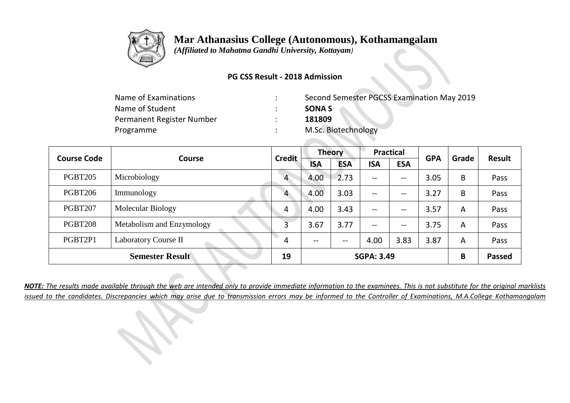

 *(Affiliated to Mahatma Gandhi University, Kottayam)*

### **PG CSS Result - 2018 Admission**

| Name of Examinations      | Second Semester PGCSS Examination May 2019 |
|---------------------------|--------------------------------------------|
| Name of Student           | <b>SONA S</b>                              |
| Permanent Register Number | 181809                                     |
| Programme                 | M.Sc. Biotechnology                        |

| <b>Course Code</b> | Course                    | <b>Credit</b>  | <b>Theory</b> |            | <b>Practical</b>  |            | <b>GPA</b> | Grade | Result        |
|--------------------|---------------------------|----------------|---------------|------------|-------------------|------------|------------|-------|---------------|
|                    |                           |                | <b>ISA</b>    | <b>ESA</b> | <b>ISA</b>        | <b>ESA</b> |            |       |               |
| <b>PGBT205</b>     | Microbiology              | $\overline{4}$ | 4.00          | 2.73       | $--$              | --         | 3.05       | B     | Pass          |
| <b>PGBT206</b>     | Immunology                | 4              | 4.00          | 3.03       | $--$              | --         | 3.27       | B     | Pass          |
| <b>PGBT207</b>     | Molecular Biology         | 4              | 4.00          | 3.43       | $--$              | --         | 3.57       | A     | Pass          |
| <b>PGBT208</b>     | Metabolism and Enzymology | 3              | 3.67          | 3.77       | $--$              | --         | 3.75       | A     | Pass          |
| PGBT2P1            | Laboratory Course II      | 4              | $- -$         | --         | 4.00              | 3.83       | 3.87       | A     | Pass          |
|                    | <b>Semester Result</b>    | 19             |               |            | <b>SGPA: 3.49</b> |            |            | B     | <b>Passed</b> |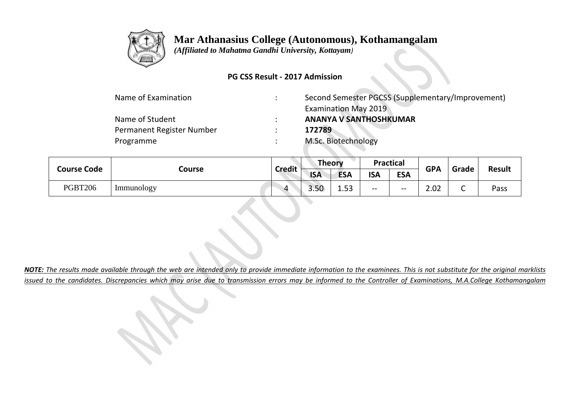

 *(Affiliated to Mahatma Gandhi University, Kottayam)*

### **PG CSS Result - 2017 Admission**

| Name of Examination       | Second Semester PGCSS (Supplementary/Improvement) |
|---------------------------|---------------------------------------------------|
|                           | <b>Examination May 2019</b>                       |
| Name of Student           | <b>ANANYA V SANTHOSHKUMAR</b>                     |
| Permanent Register Number | 172789                                            |
| Programme                 | M.Sc. Biotechnology                               |

|                    | Course            | <b>Credit</b> | <b>Theory</b> |                           | <b>Practical</b> |            | <b>GPA</b> | Grade  |               |
|--------------------|-------------------|---------------|---------------|---------------------------|------------------|------------|------------|--------|---------------|
| <b>Course Code</b> |                   |               | <b>ISA</b>    | <b>ESA</b>                | <b>ISA</b>       | <b>ESA</b> |            |        | <b>Result</b> |
| <b>PGBT206</b>     | <i>Immunology</i> | Δ             | 3.50          | 1 <sub>52</sub><br>ر ر. د | $- -$            | $- -$      | 2.02       | ∽<br>◡ | Pass          |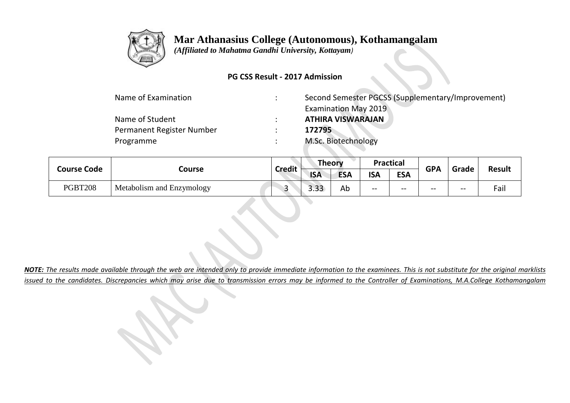

 *(Affiliated to Mahatma Gandhi University, Kottayam)*

### **PG CSS Result - 2017 Admission**

| Name of Examination       | $\bullet$ | Second Semester PGCSS (Supplementary/Improvement) |
|---------------------------|-----------|---------------------------------------------------|
|                           |           | <b>Examination May 2019</b>                       |
| Name of Student           | $\bullet$ | <b>ATHIRA VISWARAJAN</b>                          |
| Permanent Register Number |           | 172795                                            |
| Programme                 |           | M.Sc. Biotechnology                               |

|                    | Course                    | <b>Credit</b> | <b>Theory</b> |            | <b>Practical</b> |            | <b>GPA</b> |       | <b>Result</b> |
|--------------------|---------------------------|---------------|---------------|------------|------------------|------------|------------|-------|---------------|
| <b>Course Code</b> |                           |               | <b>ISA</b>    | <b>ESA</b> | <b>ISA</b>       | <b>ESA</b> |            | Grade |               |
| PGBT208            | Metabolism and Enzymology |               | ר ר<br>3.33   | Ab         | $- -$            | --         | $- -$      | --    | Fail          |